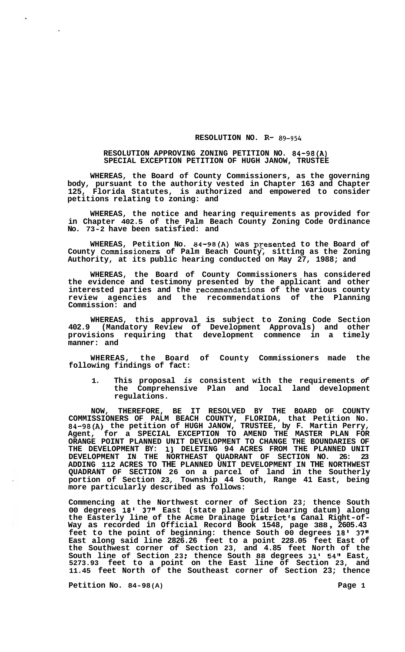## **RESOLUTION NO. R-** *89-954*

## **RESOLUTION APPROVING ZONING PETITION NO. 84-98(A) SPECIAL EXCEPTION PETITION OF HUGH JANOW, TRUSTEE**

**WHEREAS, the Board of County Commissioners, as the governing body, pursuant to the authority vested in Chapter 163 and Chapter 125, Florida Statutes, is authorized and empowered to consider petitions relating to zoning: and** 

**WHEREAS, the notice and hearing requirements as provided for in Chapter 402.5 of the Palm Beach County Zoning Code Ordinance No. 73-2 have been satisfied: and** 

WHEREAS, Petition No. 84-98(A) was presented to the Board of **County Commissioners of Palm Beach County, sitting as the Zoning Authority, at its public hearing conducted on May 27, 1988; and** 

**WHEREAS, the Board of County Commissioners has considered the evidence and testimony presented by the applicant and other interested parties and the recommendations of the various county review agencies and the recommendations of the Planning Commission: and** 

**WHEREAS, this approval is subject to Zoning Code Section 402.9 (Mandatory Review of Development Approvals) and other provisions requiring that development commence in a timely manner: and** 

**WHEREAS, the Board of County Commissioners made the following findings of fact:** 

**1. This proposal** *is* **consistent with the requirements** *of*  **the Comprehensive Plan and local land development regulations.** 

**NOW, THEREFORE, BE IT RESOLVED BY THE BOARD OF COUNTY COMMISSIONERS OF PALM BEACH COUNTY, FLORIDA, that Petition No. 84-98(A) the petition of HUGH JANOW, TRUSTEE, by F. Martin Perry, Agent, for a SPECIAL EXCEPTION TO AMEND THE MASTER PLAN FOR ORANGE POINT PLANNED UNIT DEVELOPMENT TO CHANGE THE BOUNDARIES OF THE DEVELOPMENT BY: 13 DELETING 94 ACRES FROM THE PLANNED UNIT DEVELOPMENT IN THE NORTHEAST QUADRANT OF SECTION NO. 26: 23 ADDING 112 ACRES TO THE PLANNED UNIT DEVELOPMENT IN THE NORTHWEST QUADRANT OF SECTION 26 on a parcel of land in the Southerly portion of Section 23, Township 44 South, Range 41 East, being more particularly described as follows:** 

**Commencing at the Northwest corner of Section 23; thence South 00 degrees 18' 37" East (state plane grid bearing datum) along the Easterly line of the Acme Drainage District's Canal Right-of- Way as recorded in Official Record Book 1548, page 388** , **2605.43 feet to the point of beginning: thence South 00 degrees 18' 37" East along said line 2826.26 feet to a point 228.05 feet East of the Southwest corner of Section 23, and 4.85 feet North of the South line of Section 23** : **thence South 88 degrees 31' 54'' East, 5273.93 feet to a point on the East line of Section 23, and 11.45 feet North of the Southeast corner of Section 23; thence** 

**Petition No. 84-98 (A) Page 1**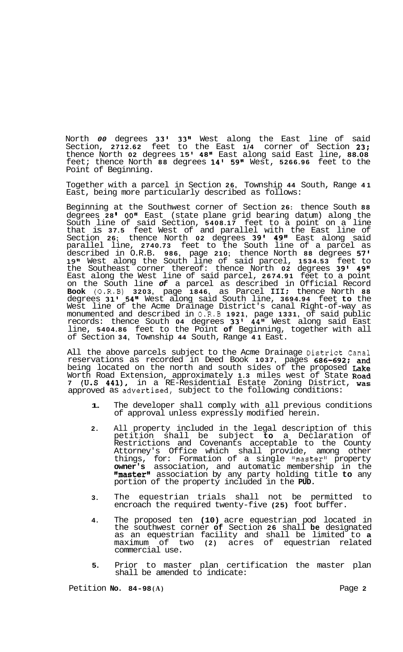North *00* degrees **33' 33''** West along the East line of said Section, **2712.62** feet to the East **1/4** corner of Section **23;**  thence North **02** degrees **15' 48"** East along said East line, **88.08**  feet; thence North **88** degrees **14' 59"** West, **5266.96** feet to the Point of Beginning.

Together with a parcel in Section **26,** Township **44** South, Range **41**  East, being more particularly described as follows:

Beginning at the Southwest corner of Section **26:** thence South **88**  degrees 28' 00" East (state plane grid bearing datum) along the South line of said Section, **5408.17** feet to a point on a line that is **37.5** feet West of and parallel with the East line of Section **26;** thence North **02** degrees **39' 49"** East along said parallel line, **2740.73** feet to the South line of a parcel as described in O.R.B. **986,** page **210;** thence North **88** degrees **57' 19l1** West along the South line of said parcel, **1534.53** feet to the Southeast corner thereof: thence North **02** degrees **39' 49"**  East along the West line of said parcel, **2674.91** feet to a point on the South line *of* a parcel as described in Official Record **Book** (0.R.B) **3203,** page **1846,** as Parcel **111;** thence North **88**  degrees **31' 54"** West along said South line, **3694.94** feet **to** the West line of the Acme Drainage District's canal Right-of-way as monumented and described in 0.R.B **1921,** page **1331,** of said public records: thence South **04** degrees **33' 44''** West along said East line, **5404.86** feet to the Point **of** Beginning, together with all of Section **34,** Township **44** South, Range **41** East.

All the above parcels subject to the Acme Drainage District Canal reservations as recorded in Deed Book **1037,** pages **686-692;** and being located on the north and south sides of the proposed Lake Worth Road Extension, approximately **1.3** miles west of State Road **7 (U.S 441),** in a RE-Residential Estate Zoning District, was approved as advertised, subject to the following conditions:

- **1.**  The developer shall comply with all previous conditions of approval unless expressly modified herein.
- **2.**  All property included in the legal description of this petition shall be subject **to** a Declaration of Restrictions and Covenants acceptable to the County Attorney's Office which shall provide, among other things, for: Formation of a single "master" property **owner's** association, and automatic membership in the llmasterll association by any party holding title **to** any portion of the property included in the **PUD.**
- **3.**  The equestrian trials shall not be permitted to encroach the required twenty-five **(25)** foot buffer.
- **4.**  The proposed ten **(10)** acre equestrian pod located in the southwest corner **of** Section **26** shall **be** designated as an equestrian facility and shall be limited to **a**  maximum of two **(2)** acres of equestrian related commercial use.
- **5.**  Prior to master plan certification the master plan shall be amended to indicate: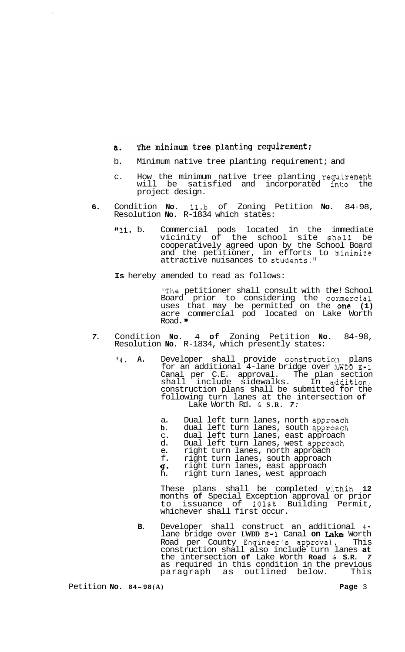## The minimum tree planting requirement;  $a.$

- b. Minimum native tree planting requirement; and
- c. How the minimum native tree planting requirement<br>will be satisfied and incorporated into the will be satisfied and incorporated into project design.
- **6.** Condition **No.** 1l.b of Zoning Petition **No.** 84-98, Resolution **No.** R-1834 which states:
	- **ll11.** b. Commercial pods located in the immediate vicinity of the school site shall be cooperatively agreed upon by the School Board and the petitioner, in efforts to minimize attractive nuisances to students."
	- **Is** hereby amended to read as follows:

"The petitioner shall consult with the! School Board prior to considering the commercial uses that may be permitted on the one (1) acre commercial pod located on Lake Worth Road."

- *7.* Condition **No.** 4 **of** Zoning Petition **No.** 84-98, Resolution **No.** R-1834, which presently states:
	- <sup>"4</sup>. **A.** Developer shall provide construction plans for an additional 4-lane bridge over !LWDD **E-1**  Canal per C.E. approval. The plan section shall include sidewalks. In acidition, construction plans shall be submitted for the following turn lanes at the intersection **of**  Lake Worth Rd. & **S.R.** *7:* 
		- a. Dual left turn lanes, north approach
		- **b.**  dual left turn lanes, south approach
		- d. C. dual left turn lanes, east approach Dual left turn lanes, west approach
		- e. right turn lanes, north approach
		- f. right turn lanes, south approach
		- **g\***  right turn lanes, east approach
		- h. right turn lanes, west approach

These plans shall be completed within **12**  months **of** Special Exception approval or prior to issuance of lOlst Building Permit, whichever shall first occur.

**B.** Developer shall construct an additional **4**  lane bridge over LWDD  $E-1$  Canal on Lake Worth Road per County Engineer's approval. This construction shall also include turn lanes **at**  the intersection **of** Lake Worth **Road** & **S.R.** *7*  as required in this condition in the previous paragraph as outlined below. This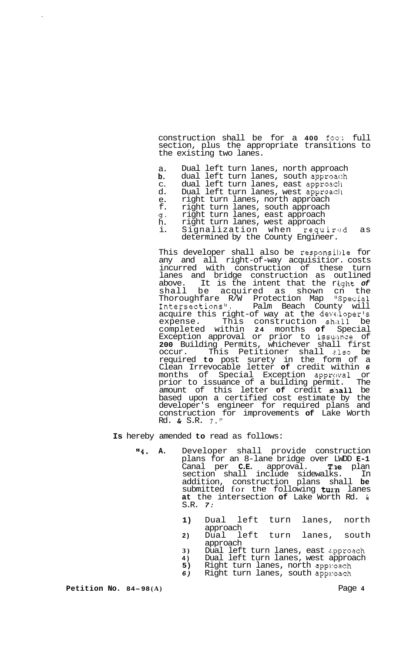construction shall be for a **400** foo': full section, plus the appropriate transitions to the existing two lanes.

a. Dual left turn lanes, north approach

- **b.**  dual left turn lanes, south approach
- C. dual left turn lanes, east approacll
- d. Dual left turn lanes, west approacll
- e. f. right turn lanes, north approach right turn lanes, south approach
- 4 right turn lanes, east approach
- h. right turn lanes, west approach
	- i. Signalization when required as determined by the County Engineer.

This developer shall also be responsible for any and all right-of-way acquisitior. costs incurred with construction of these turn lanes and bridge construction as outlined<br>above. It is the intent that the right of It is the intent that the right of shall be acquired as shown cn the Thoroughfare R/W Protection Map "Special Intersections1'. Palm Beach County will acquire this right-of way at the developer's expense. This construction shall be completed within **24** months **of** Special Exception approval or prior to issuance of **200** Building Permits, whichever shall first occur. This Petitioner shall e.lso be required **to** post surety in the form of a Clean Irrevocable letter **of** credit within *6*  months of Special Exception approval or<br>prior to issuance of a building permit. The prior to issuance of a building permit. The amount of this letter **of** credit shall be based upon a certified cost estimate by the developer's engineer for required plans and construction for improvements **of** Lake Worth Rd. & S.R. 7."

**Is** hereby amended **to** read as follows:

- **Ir4. A.** Developer shall provide construction plans for an 8-lane bridge over LWDD **E-1**  Canal per **C.E.** approval. The plan section shall include sidewalks. In addition, construction plans shall **be**  submitted for the following turn lanes **at** the intersection **of** Lake Worth Rd. & S.R. *7:* 
	- **1)** Dual left turn lanes, north approach
	- **2)** Dual left turn lanes, south approach
	- **3)** Dual left turn lanes, east approach<br>**4)** Dual left turn lanes, west approach
	- **4)** Dual left turn lanes, west approach<br>**5)** Right turn lanes, north approach
	- **5)** Right turn lanes, north approach<br>**6)** Right turn lanes, south approach
	- *6)* Right turn lanes, south app1:oach

**Petition No. 84-98 (A)** Page **4**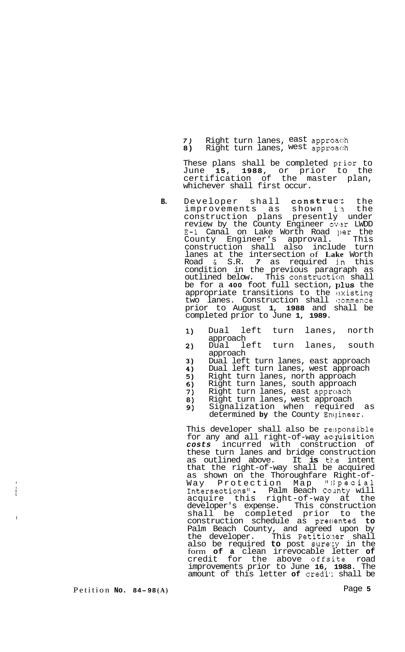*7)* Right turn lanes, east approac:h 8) Right turn lanes, west approach

These plans shall be completed prior to June **15, 1988,** or prior to the certification of the master plan, whichever shall first occur.

- **B.** Developer shall construct the improvements as shown in the construction plans presently under review by the County Engineer ov+r LWDD E-1 Canal on Lake Worth Road per the County Engineer's approval. This construction shall also include turn lanes at the intersection of **Lake** Worth Road & S.R. *7* as required j,n this condition in the previous paragraph as outlined below. This constructicm shall be for a 400 foot full section, plus the appropriate transitions to the existing two lanes. Construction shall commence prior to August **1, 1988** and shall be completed prior to June **1, 1989.** 
	- $1)$ Dual left turn lanes, north approach
	- Dual left turn lanes, south  $2)$ approach
	- $3)$ Dual left turn lanes, east approach
	- 4) Dual left turn lanes, west approach
	- $5)$ Right turn lanes, north approach
	- $6)$ Right turn lanes, south approach
	- 7) Right turn lanes, east approach
	- Right turn lanes, west approach 8)
	- Signalization when required as 9) determined by the County Engineer.

This developer shall also be re:;ponsible for any and all right-of-way acquisition *costs* incurred with construction of these turn lanes and bridge construction as outlined above. It **is** tk.e intent that the right-of-way shall be acquired as shown on the Thoroughfare Right-of-Way Protection Map "Special<br>Intersections" - Palm Beach County will acquire this right-of-way at the developer's expense. This construction shall be completed prior to the construction schedule as preclented **to**  Palm Beach County, and agreed upon by the developer. This Petitio:ner shall also be required **to** post sure'cy in the form **of a** clean irrevocable letter **of**  credit for the above offsite road improvements prior to June **16, 1988.** The amount of this letter **of** credi': shall be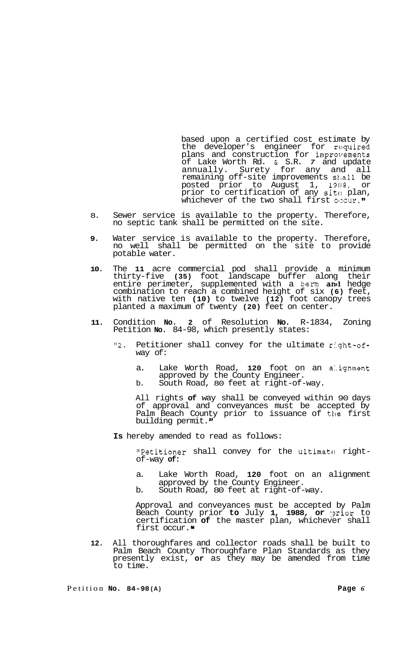based upon a certified cost estimate by the developer's engineer for required plans and construction for improrrements of Lake Worth Rd. *t* S.R. *7* and update annually. Surety for any and all remaining off-site improvements sklall be posted prior to August 1, 19ll8, or prior to certification of any sit $_{0}$  plan, whichever of the two shall first occur. **"** 

- 8. Sewer service is available to the property. Therefore, no septic tank shall be permitted on the site.
- **9.**  Water service is available to the property. Therefore, no well shall be permitted on the site to provide potable water.
- **10.**  The **11** acre commercial pod shall provide a minimum thirty-f ive **(35)** foot landscape buffer along their entire perimeter, supplemented with a berm and hedge combination to reach a combined height of six **(6)** feet, with native ten **(10)** to twelve **(12)** foot canopy trees planted a maximum of twenty **(20)** feet on center.
- **11.**  Condition **No. 2** of Resolution **No.** R-1834, Zoning Petition **No.** 84-98, which presently states:
	- **"2.** Petitioner shall convey for the ultimate r:'.ght-ofway of:
		- a. Lake Worth Road, **120** foot on an a:.ignment approved by the County Engineer.
		- b. South Road, 80 feet at right-of-way.

All rights **of** way shall be conveyed within 90 days of approval and conveyances must be accepted by Palm Beach County prior to issuance of the first building permit."

**Is** hereby amended to read as follows:

"Petitioner shall convey for the ultimate right-<br>of-way of:

- a. Lake Worth Road, **120** foot on an alignment approved by the County Engineer.
- b. South Road, 80 feet at right-of-way.

Approval and conveyances must be accepted by Palm Beach County prior **to** July **1, 1988, or** :prior to certification **of** the master plan, whichever shall first occur.<sup>.</sup>

**12.**  All thoroughfares and collector roads shall be built to Palm Beach County Thoroughfare Plan Standards as they presently exist, **or** as they may be amended from time to time.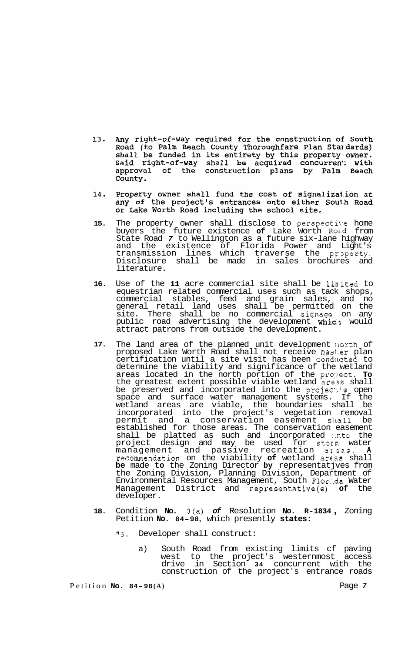- 13. Any right-of-way required for the construction of South Road (to Palm Beach County Thoroughfare Plan Stardards) shall be funded in its entirety by this property owner. Said right-of-way shall be acquired concurrent: with<br>approval of the construction plans by Palm Beach County.
- Property owner shall fund the cost of signalization at 14. any of the project's entrances onto either South Road or Lake Worth Road including the school site.
- 15. The property owner shall disclose to perspective home buyers the future existence **of** Lake Worth Ro2.d from State Road *7* to Wellington as a future six-lane highway and the existence of Florida Power and Light's transmission lines which traverse the property. Disclosure shall be made in sales brochures and literature.
- **16.** Use of the **11** acre commercial site shall be linited to equestrian related commercial uses such as tack shops, commercial stables, feed and grain sales, and no general retail land uses shall be permitted on the site. There shall be no commercial signage on any public road advertising the development **whic:** would attract patrons from outside the development.
- **17.** The land area of the planned unit development llorth of proposed Lake Worth Road shall not receive mas1:er plan certification until a site visit has been conducted to determine the viability and significance of the wetland areas located in the north portion of the pro:Iect. **To**  the greatest extent possible viable wetland areas shall be preserved and incorporated into the projec':'s open space and surface water management systems. If the wetland areas are viable, the boundaries shall be incorporated into the project's vegetation removal permit and a conservation easement sllall be established for those areas. The conservation easement shall be platted as such and incorporated :.nto the project design and may be used for storm water management and passive recreation azeas. **A**  recommendation on the viability of wetland areas shall **be** made **to** the Zoning Director **by** representatjves from the Zoning Division, Planning Division, Department of Environmental Resources Management, South Flor:.da Water Management District and representative(s) **of** the developer.
- **18.** Condition **No.** 3(a) *of* Resolution **No. R-1834** , Zoning Petition **No. 84-98,** which presently **states:** 
	- **"3.** Developer shall construct:
		- a) South Road from existing limits cf paving west to the project's westernmost access drive in Section **34** concurrent with the construction of the project's entrance roads

Petition **No. 84-98 (A)** Page *7*